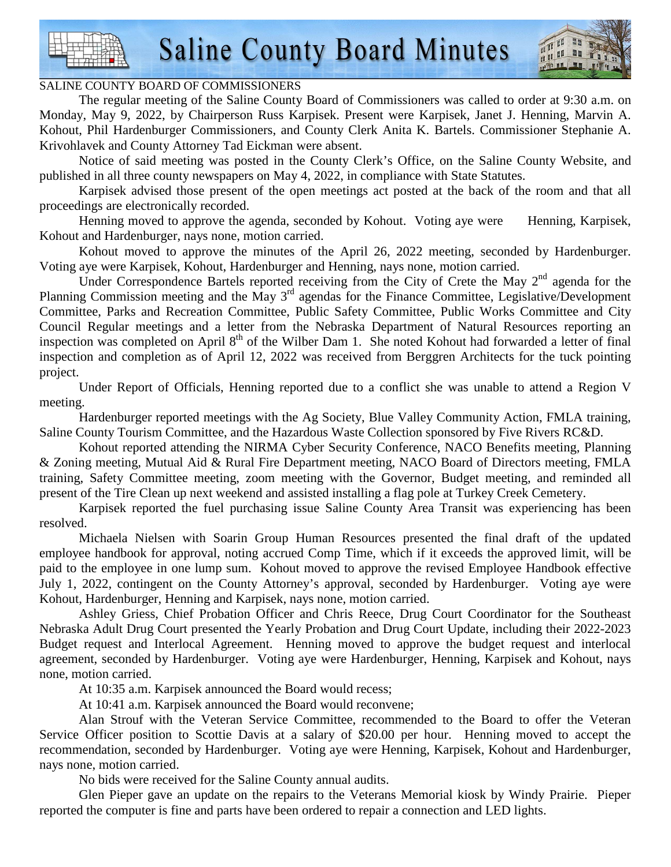

#### SALINE COUNTY BOARD OF COMMISSIONERS

 The regular meeting of the Saline County Board of Commissioners was called to order at 9:30 a.m. on Monday, May 9, 2022, by Chairperson Russ Karpisek. Present were Karpisek, Janet J. Henning, Marvin A. Kohout, Phil Hardenburger Commissioners, and County Clerk Anita K. Bartels. Commissioner Stephanie A. Krivohlavek and County Attorney Tad Eickman were absent.

 Notice of said meeting was posted in the County Clerk's Office, on the Saline County Website, and published in all three county newspapers on May 4, 2022, in compliance with State Statutes.

 Karpisek advised those present of the open meetings act posted at the back of the room and that all proceedings are electronically recorded.

Henning moved to approve the agenda, seconded by Kohout. Voting aye were Henning, Karpisek, Kohout and Hardenburger, nays none, motion carried.

 Kohout moved to approve the minutes of the April 26, 2022 meeting, seconded by Hardenburger. Voting aye were Karpisek, Kohout, Hardenburger and Henning, nays none, motion carried.

Under Correspondence Bartels reported receiving from the City of Crete the May  $2<sup>nd</sup>$  agenda for the Planning Commission meeting and the May 3<sup>rd</sup> agendas for the Finance Committee, Legislative/Development Committee, Parks and Recreation Committee, Public Safety Committee, Public Works Committee and City Council Regular meetings and a letter from the Nebraska Department of Natural Resources reporting an inspection was completed on April 8<sup>th</sup> of the Wilber Dam 1. She noted Kohout had forwarded a letter of final inspection and completion as of April 12, 2022 was received from Berggren Architects for the tuck pointing project.

 Under Report of Officials, Henning reported due to a conflict she was unable to attend a Region V meeting.

 Hardenburger reported meetings with the Ag Society, Blue Valley Community Action, FMLA training, Saline County Tourism Committee, and the Hazardous Waste Collection sponsored by Five Rivers RC&D.

 Kohout reported attending the NIRMA Cyber Security Conference, NACO Benefits meeting, Planning & Zoning meeting, Mutual Aid & Rural Fire Department meeting, NACO Board of Directors meeting, FMLA training, Safety Committee meeting, zoom meeting with the Governor, Budget meeting, and reminded all present of the Tire Clean up next weekend and assisted installing a flag pole at Turkey Creek Cemetery.

 Karpisek reported the fuel purchasing issue Saline County Area Transit was experiencing has been resolved.

 Michaela Nielsen with Soarin Group Human Resources presented the final draft of the updated employee handbook for approval, noting accrued Comp Time, which if it exceeds the approved limit, will be paid to the employee in one lump sum. Kohout moved to approve the revised Employee Handbook effective July 1, 2022, contingent on the County Attorney's approval, seconded by Hardenburger. Voting aye were Kohout, Hardenburger, Henning and Karpisek, nays none, motion carried.

 Ashley Griess, Chief Probation Officer and Chris Reece, Drug Court Coordinator for the Southeast Nebraska Adult Drug Court presented the Yearly Probation and Drug Court Update, including their 2022-2023 Budget request and Interlocal Agreement. Henning moved to approve the budget request and interlocal agreement, seconded by Hardenburger. Voting aye were Hardenburger, Henning, Karpisek and Kohout, nays none, motion carried.

At 10:35 a.m. Karpisek announced the Board would recess;

At 10:41 a.m. Karpisek announced the Board would reconvene;

 Alan Strouf with the Veteran Service Committee, recommended to the Board to offer the Veteran Service Officer position to Scottie Davis at a salary of \$20.00 per hour. Henning moved to accept the recommendation, seconded by Hardenburger. Voting aye were Henning, Karpisek, Kohout and Hardenburger, nays none, motion carried.

No bids were received for the Saline County annual audits.

 Glen Pieper gave an update on the repairs to the Veterans Memorial kiosk by Windy Prairie. Pieper reported the computer is fine and parts have been ordered to repair a connection and LED lights.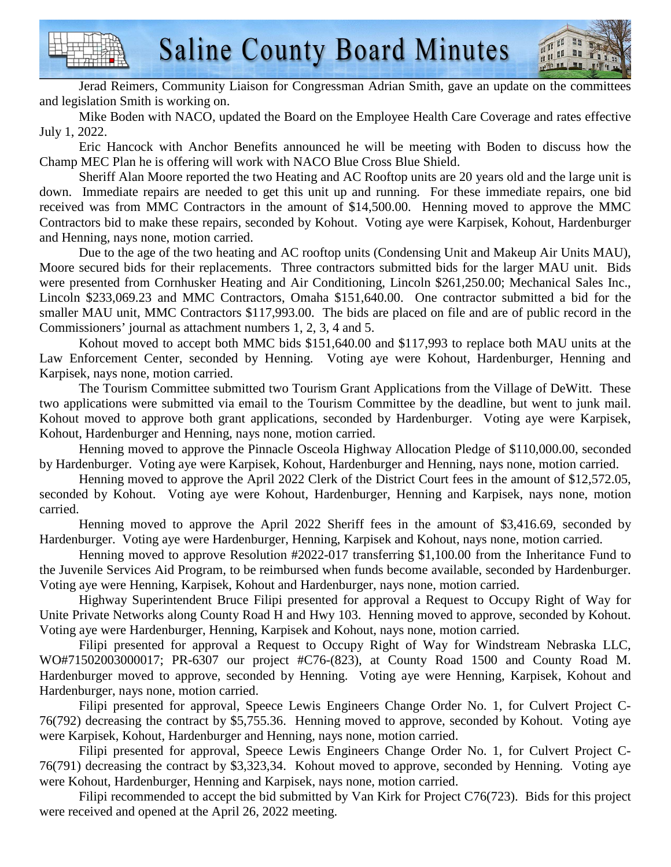Jerad Reimers, Community Liaison for Congressman Adrian Smith, gave an update on the committees and legislation Smith is working on.

 Mike Boden with NACO, updated the Board on the Employee Health Care Coverage and rates effective July 1, 2022.

 Eric Hancock with Anchor Benefits announced he will be meeting with Boden to discuss how the Champ MEC Plan he is offering will work with NACO Blue Cross Blue Shield.

 Sheriff Alan Moore reported the two Heating and AC Rooftop units are 20 years old and the large unit is down. Immediate repairs are needed to get this unit up and running. For these immediate repairs, one bid received was from MMC Contractors in the amount of \$14,500.00. Henning moved to approve the MMC Contractors bid to make these repairs, seconded by Kohout. Voting aye were Karpisek, Kohout, Hardenburger and Henning, nays none, motion carried.

 Due to the age of the two heating and AC rooftop units (Condensing Unit and Makeup Air Units MAU), Moore secured bids for their replacements. Three contractors submitted bids for the larger MAU unit. Bids were presented from Cornhusker Heating and Air Conditioning, Lincoln \$261,250.00; Mechanical Sales Inc., Lincoln \$233,069.23 and MMC Contractors, Omaha \$151,640.00. One contractor submitted a bid for the smaller MAU unit, MMC Contractors \$117,993.00. The bids are placed on file and are of public record in the Commissioners' journal as attachment numbers 1, 2, 3, 4 and 5.

 Kohout moved to accept both MMC bids \$151,640.00 and \$117,993 to replace both MAU units at the Law Enforcement Center, seconded by Henning. Voting aye were Kohout, Hardenburger, Henning and Karpisek, nays none, motion carried.

 The Tourism Committee submitted two Tourism Grant Applications from the Village of DeWitt. These two applications were submitted via email to the Tourism Committee by the deadline, but went to junk mail. Kohout moved to approve both grant applications, seconded by Hardenburger. Voting aye were Karpisek, Kohout, Hardenburger and Henning, nays none, motion carried.

 Henning moved to approve the Pinnacle Osceola Highway Allocation Pledge of \$110,000.00, seconded by Hardenburger. Voting aye were Karpisek, Kohout, Hardenburger and Henning, nays none, motion carried.

 Henning moved to approve the April 2022 Clerk of the District Court fees in the amount of \$12,572.05, seconded by Kohout. Voting aye were Kohout, Hardenburger, Henning and Karpisek, nays none, motion carried.

 Henning moved to approve the April 2022 Sheriff fees in the amount of \$3,416.69, seconded by Hardenburger. Voting aye were Hardenburger, Henning, Karpisek and Kohout, nays none, motion carried.

 Henning moved to approve Resolution #2022-017 transferring \$1,100.00 from the Inheritance Fund to the Juvenile Services Aid Program, to be reimbursed when funds become available, seconded by Hardenburger. Voting aye were Henning, Karpisek, Kohout and Hardenburger, nays none, motion carried.

 Highway Superintendent Bruce Filipi presented for approval a Request to Occupy Right of Way for Unite Private Networks along County Road H and Hwy 103. Henning moved to approve, seconded by Kohout. Voting aye were Hardenburger, Henning, Karpisek and Kohout, nays none, motion carried.

 Filipi presented for approval a Request to Occupy Right of Way for Windstream Nebraska LLC, WO#71502003000017; PR-6307 our project #C76-(823), at County Road 1500 and County Road M. Hardenburger moved to approve, seconded by Henning. Voting aye were Henning, Karpisek, Kohout and Hardenburger, nays none, motion carried.

 Filipi presented for approval, Speece Lewis Engineers Change Order No. 1, for Culvert Project C-76(792) decreasing the contract by \$5,755.36. Henning moved to approve, seconded by Kohout. Voting aye were Karpisek, Kohout, Hardenburger and Henning, nays none, motion carried.

 Filipi presented for approval, Speece Lewis Engineers Change Order No. 1, for Culvert Project C-76(791) decreasing the contract by \$3,323,34. Kohout moved to approve, seconded by Henning. Voting aye were Kohout, Hardenburger, Henning and Karpisek, nays none, motion carried.

 Filipi recommended to accept the bid submitted by Van Kirk for Project C76(723). Bids for this project were received and opened at the April 26, 2022 meeting.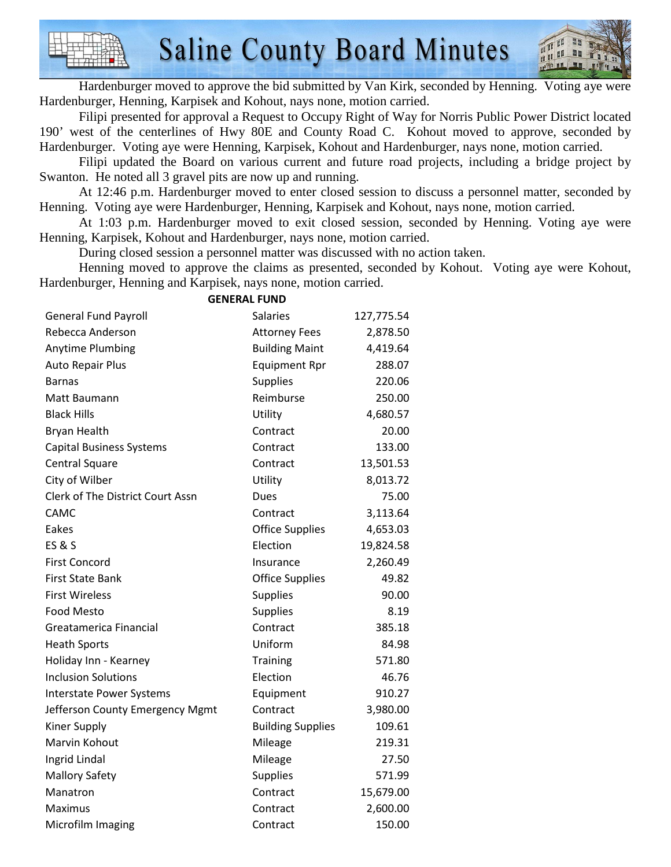

 Hardenburger moved to approve the bid submitted by Van Kirk, seconded by Henning. Voting aye were Hardenburger, Henning, Karpisek and Kohout, nays none, motion carried.

 Filipi presented for approval a Request to Occupy Right of Way for Norris Public Power District located 190' west of the centerlines of Hwy 80E and County Road C. Kohout moved to approve, seconded by Hardenburger. Voting aye were Henning, Karpisek, Kohout and Hardenburger, nays none, motion carried.

 Filipi updated the Board on various current and future road projects, including a bridge project by Swanton. He noted all 3 gravel pits are now up and running.

 At 12:46 p.m. Hardenburger moved to enter closed session to discuss a personnel matter, seconded by Henning. Voting aye were Hardenburger, Henning, Karpisek and Kohout, nays none, motion carried.

 At 1:03 p.m. Hardenburger moved to exit closed session, seconded by Henning. Voting aye were Henning, Karpisek, Kohout and Hardenburger, nays none, motion carried.

During closed session a personnel matter was discussed with no action taken.

 Henning moved to approve the claims as presented, seconded by Kohout. Voting aye were Kohout, Hardenburger, Henning and Karpisek, nays none, motion carried.

| GENEKAL FUND                            |                          |            |  |  |
|-----------------------------------------|--------------------------|------------|--|--|
| <b>General Fund Payroll</b>             | Salaries                 | 127,775.54 |  |  |
| Rebecca Anderson                        | <b>Attorney Fees</b>     | 2,878.50   |  |  |
| Anytime Plumbing                        | <b>Building Maint</b>    | 4,419.64   |  |  |
| <b>Auto Repair Plus</b>                 | <b>Equipment Rpr</b>     | 288.07     |  |  |
| <b>Barnas</b>                           | <b>Supplies</b>          | 220.06     |  |  |
| Matt Baumann                            | Reimburse                | 250.00     |  |  |
| <b>Black Hills</b>                      | Utility                  | 4,680.57   |  |  |
| Bryan Health                            | Contract                 | 20.00      |  |  |
| <b>Capital Business Systems</b>         | Contract                 | 133.00     |  |  |
| <b>Central Square</b>                   | Contract                 | 13,501.53  |  |  |
| City of Wilber                          | Utility                  | 8,013.72   |  |  |
| <b>Clerk of The District Court Assn</b> | Dues                     | 75.00      |  |  |
| CAMC                                    | Contract                 | 3,113.64   |  |  |
| Eakes                                   | <b>Office Supplies</b>   | 4,653.03   |  |  |
| <b>ES&amp;S</b>                         | Election                 | 19,824.58  |  |  |
| <b>First Concord</b>                    | Insurance                | 2,260.49   |  |  |
| <b>First State Bank</b>                 | <b>Office Supplies</b>   | 49.82      |  |  |
| <b>First Wireless</b>                   | <b>Supplies</b>          | 90.00      |  |  |
| <b>Food Mesto</b>                       | <b>Supplies</b>          | 8.19       |  |  |
| Greatamerica Financial                  | Contract                 | 385.18     |  |  |
| <b>Heath Sports</b>                     | Uniform                  | 84.98      |  |  |
| Holiday Inn - Kearney                   | <b>Training</b>          | 571.80     |  |  |
| <b>Inclusion Solutions</b>              | Election                 | 46.76      |  |  |
| <b>Interstate Power Systems</b>         | Equipment                | 910.27     |  |  |
| Jefferson County Emergency Mgmt         | Contract                 | 3,980.00   |  |  |
| <b>Kiner Supply</b>                     | <b>Building Supplies</b> | 109.61     |  |  |
| Marvin Kohout                           | Mileage                  | 219.31     |  |  |
| Ingrid Lindal                           | Mileage                  | 27.50      |  |  |
| <b>Mallory Safety</b>                   | <b>Supplies</b>          | 571.99     |  |  |
| Manatron                                | Contract                 | 15,679.00  |  |  |
| Maximus                                 | Contract                 | 2,600.00   |  |  |
| Microfilm Imaging                       | Contract                 | 150.00     |  |  |

#### **GENERAL FUND**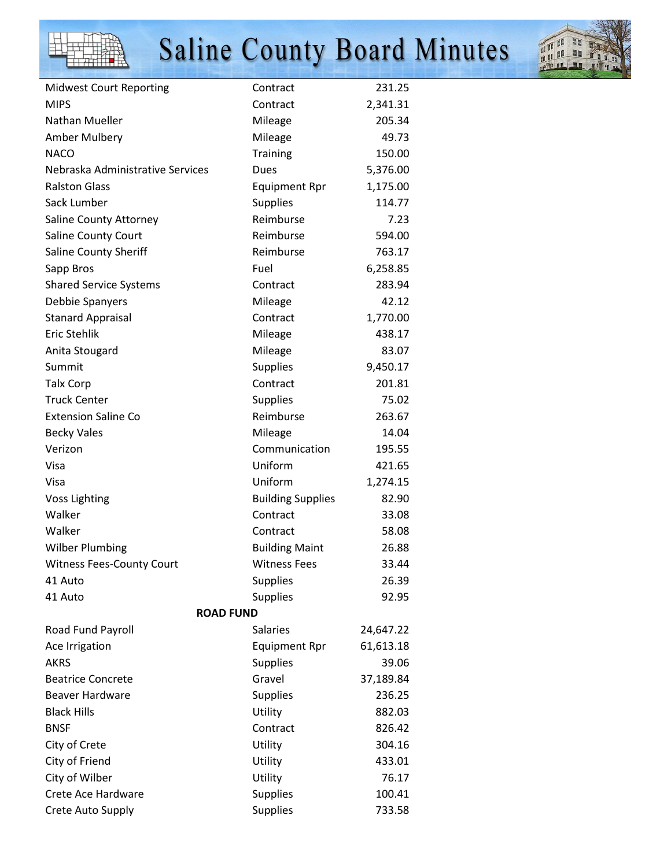



| <b>Midwest Court Reporting</b>   | Contract                 | 231.25    |  |  |
|----------------------------------|--------------------------|-----------|--|--|
| <b>MIPS</b>                      | Contract                 | 2,341.31  |  |  |
| Nathan Mueller                   | Mileage                  | 205.34    |  |  |
| Amber Mulbery                    | Mileage                  | 49.73     |  |  |
| <b>NACO</b>                      | Training                 | 150.00    |  |  |
| Nebraska Administrative Services | Dues                     | 5,376.00  |  |  |
| <b>Ralston Glass</b>             | <b>Equipment Rpr</b>     | 1,175.00  |  |  |
| Sack Lumber                      | <b>Supplies</b>          | 114.77    |  |  |
| Saline County Attorney           | Reimburse                | 7.23      |  |  |
| Saline County Court              | Reimburse                | 594.00    |  |  |
| Saline County Sheriff            | Reimburse                | 763.17    |  |  |
| Sapp Bros                        | Fuel                     | 6,258.85  |  |  |
| <b>Shared Service Systems</b>    | Contract                 | 283.94    |  |  |
| Debbie Spanyers                  | Mileage                  | 42.12     |  |  |
| <b>Stanard Appraisal</b>         | Contract                 | 1,770.00  |  |  |
| <b>Eric Stehlik</b>              | Mileage                  | 438.17    |  |  |
| Anita Stougard                   | Mileage                  | 83.07     |  |  |
| Summit                           | <b>Supplies</b>          | 9,450.17  |  |  |
| <b>Talx Corp</b>                 | Contract                 | 201.81    |  |  |
| <b>Truck Center</b>              | <b>Supplies</b>          | 75.02     |  |  |
| <b>Extension Saline Co</b>       | Reimburse                | 263.67    |  |  |
| <b>Becky Vales</b>               | Mileage                  | 14.04     |  |  |
| Verizon                          | Communication            | 195.55    |  |  |
| Visa                             | Uniform                  | 421.65    |  |  |
| Visa                             | Uniform                  | 1,274.15  |  |  |
| <b>Voss Lighting</b>             | <b>Building Supplies</b> | 82.90     |  |  |
| Walker                           | Contract                 | 33.08     |  |  |
| Walker                           | Contract                 | 58.08     |  |  |
| <b>Wilber Plumbing</b>           | <b>Building Maint</b>    | 26.88     |  |  |
| <b>Witness Fees-County Court</b> | <b>Witness Fees</b>      | 33.44     |  |  |
| 41 Auto                          | <b>Supplies</b>          | 26.39     |  |  |
| 41 Auto                          | <b>Supplies</b>          | 92.95     |  |  |
| <b>ROAD FUND</b>                 |                          |           |  |  |
| Road Fund Payroll                | <b>Salaries</b>          | 24,647.22 |  |  |
| Ace Irrigation                   | <b>Equipment Rpr</b>     | 61,613.18 |  |  |
| <b>AKRS</b>                      | <b>Supplies</b>          | 39.06     |  |  |
| <b>Beatrice Concrete</b>         | Gravel                   | 37,189.84 |  |  |
| <b>Beaver Hardware</b>           | <b>Supplies</b>          | 236.25    |  |  |
| <b>Black Hills</b>               | Utility                  | 882.03    |  |  |
| <b>BNSF</b>                      | Contract                 | 826.42    |  |  |
| City of Crete                    | Utility                  | 304.16    |  |  |
| City of Friend                   | Utility                  | 433.01    |  |  |
| City of Wilber                   | Utility                  | 76.17     |  |  |
| Crete Ace Hardware               | <b>Supplies</b>          | 100.41    |  |  |
| Crete Auto Supply                | <b>Supplies</b>          | 733.58    |  |  |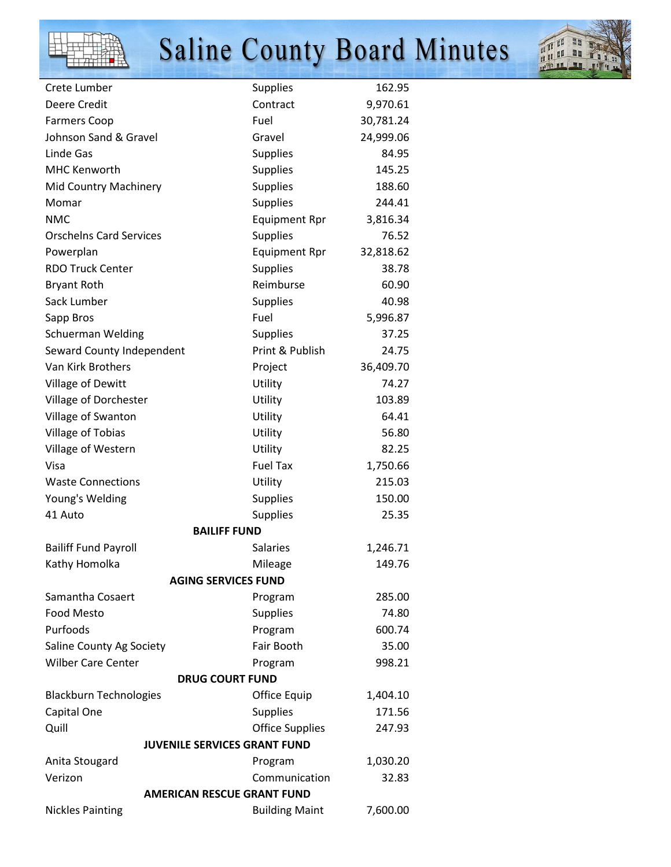



| Crete Lumber                        | <b>Supplies</b>        | 162.95    |  |  |
|-------------------------------------|------------------------|-----------|--|--|
| Deere Credit                        | Contract               | 9,970.61  |  |  |
| <b>Farmers Coop</b>                 | Fuel                   | 30,781.24 |  |  |
| Johnson Sand & Gravel               | Gravel                 | 24,999.06 |  |  |
| Linde Gas                           | <b>Supplies</b>        | 84.95     |  |  |
| <b>MHC Kenworth</b>                 | <b>Supplies</b>        | 145.25    |  |  |
| Mid Country Machinery               | <b>Supplies</b>        | 188.60    |  |  |
| Momar                               | <b>Supplies</b>        | 244.41    |  |  |
| <b>NMC</b>                          | <b>Equipment Rpr</b>   | 3,816.34  |  |  |
| <b>Orschelns Card Services</b>      | <b>Supplies</b>        | 76.52     |  |  |
| Powerplan                           | <b>Equipment Rpr</b>   | 32,818.62 |  |  |
| <b>RDO Truck Center</b>             | <b>Supplies</b>        | 38.78     |  |  |
| <b>Bryant Roth</b>                  | Reimburse              | 60.90     |  |  |
| Sack Lumber                         | <b>Supplies</b>        | 40.98     |  |  |
| Sapp Bros                           | Fuel                   | 5,996.87  |  |  |
| <b>Schuerman Welding</b>            | <b>Supplies</b>        | 37.25     |  |  |
| Seward County Independent           | Print & Publish        | 24.75     |  |  |
| Van Kirk Brothers                   | Project                | 36,409.70 |  |  |
| Village of Dewitt                   | Utility                | 74.27     |  |  |
| Village of Dorchester               | Utility                | 103.89    |  |  |
| Village of Swanton                  | Utility                | 64.41     |  |  |
| Village of Tobias                   | Utility                | 56.80     |  |  |
| Village of Western                  | Utility                | 82.25     |  |  |
| Visa                                | <b>Fuel Tax</b>        | 1,750.66  |  |  |
| <b>Waste Connections</b>            | Utility                | 215.03    |  |  |
| Young's Welding                     | Supplies               | 150.00    |  |  |
| 41 Auto                             | <b>Supplies</b>        | 25.35     |  |  |
| <b>BAILIFF FUND</b>                 |                        |           |  |  |
| <b>Bailiff Fund Payroll</b>         | <b>Salaries</b>        | 1,246.71  |  |  |
| Kathy Homolka                       | Mileage                | 149.76    |  |  |
| <b>AGING SERVICES FUND</b>          |                        |           |  |  |
| Samantha Cosaert                    | Program                | 285.00    |  |  |
| <b>Food Mesto</b>                   | <b>Supplies</b>        | 74.80     |  |  |
| Purfoods                            | Program                | 600.74    |  |  |
| Saline County Ag Society            | Fair Booth             | 35.00     |  |  |
| <b>Wilber Care Center</b>           | Program                | 998.21    |  |  |
| <b>DRUG COURT FUND</b>              |                        |           |  |  |
| <b>Blackburn Technologies</b>       | Office Equip           | 1,404.10  |  |  |
| Capital One                         | <b>Supplies</b>        | 171.56    |  |  |
| Quill                               | <b>Office Supplies</b> | 247.93    |  |  |
| <b>JUVENILE SERVICES GRANT FUND</b> |                        |           |  |  |
| Anita Stougard                      | Program                | 1,030.20  |  |  |
| Verizon                             | Communication          | 32.83     |  |  |
| <b>AMERICAN RESCUE GRANT FUND</b>   |                        |           |  |  |
| <b>Nickles Painting</b>             | <b>Building Maint</b>  | 7,600.00  |  |  |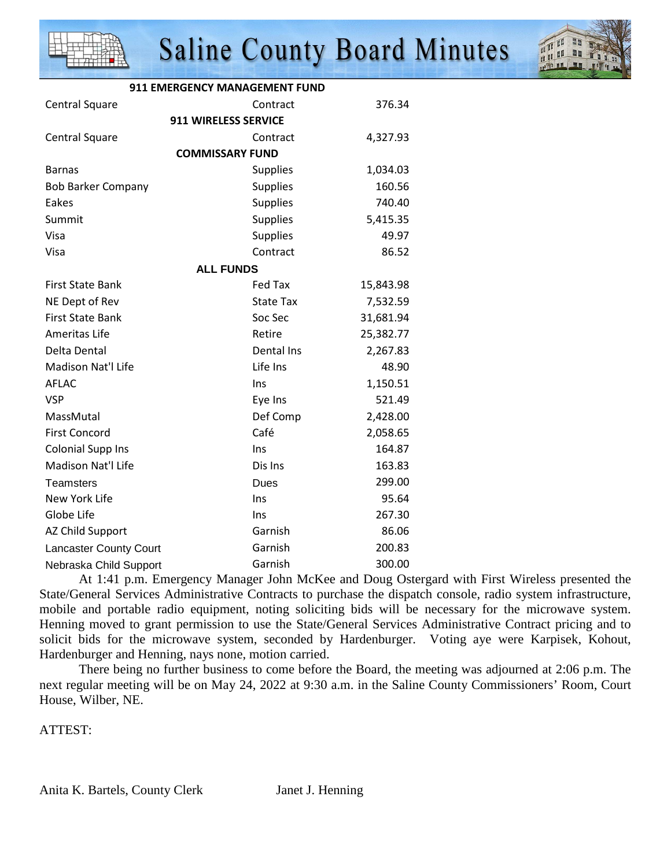



| <b>911 EMERGENCY MANAGEMENT FUND</b> |                        |           |  |  |
|--------------------------------------|------------------------|-----------|--|--|
| Central Square                       | Contract               | 376.34    |  |  |
| <b>911 WIRELESS SERVICE</b>          |                        |           |  |  |
| Central Square                       | Contract               | 4,327.93  |  |  |
|                                      | <b>COMMISSARY FUND</b> |           |  |  |
| <b>Barnas</b>                        | <b>Supplies</b>        | 1,034.03  |  |  |
| <b>Bob Barker Company</b>            | <b>Supplies</b>        | 160.56    |  |  |
| Eakes                                | <b>Supplies</b>        | 740.40    |  |  |
| Summit                               | <b>Supplies</b>        | 5,415.35  |  |  |
| Visa                                 | Supplies               | 49.97     |  |  |
| Visa                                 | Contract               | 86.52     |  |  |
| <b>ALL FUNDS</b>                     |                        |           |  |  |
| <b>First State Bank</b>              | <b>Fed Tax</b>         | 15,843.98 |  |  |
| NE Dept of Rev                       | <b>State Tax</b>       | 7,532.59  |  |  |
| <b>First State Bank</b>              | Soc Sec                | 31,681.94 |  |  |
| Ameritas Life                        | Retire                 | 25,382.77 |  |  |
| Delta Dental                         | Dental Ins             | 2,267.83  |  |  |
| Madison Nat'l Life                   | Life Ins               | 48.90     |  |  |
| <b>AFLAC</b>                         | Ins                    | 1,150.51  |  |  |
| <b>VSP</b>                           | Eye Ins                | 521.49    |  |  |
| MassMutal                            | Def Comp               | 2,428.00  |  |  |
| <b>First Concord</b>                 | Café                   | 2,058.65  |  |  |
| <b>Colonial Supp Ins</b>             | Ins                    | 164.87    |  |  |
| Madison Nat'l Life                   | Dis Ins                | 163.83    |  |  |
| <b>Teamsters</b>                     | Dues                   | 299.00    |  |  |
| New York Life                        | Ins                    | 95.64     |  |  |
| Globe Life                           | Ins                    | 267.30    |  |  |
| AZ Child Support                     | Garnish                | 86.06     |  |  |
| <b>Lancaster County Court</b>        | Garnish                | 200.83    |  |  |
| Nebraska Child Support               | Garnish                | 300.00    |  |  |

 At 1:41 p.m. Emergency Manager John McKee and Doug Ostergard with First Wireless presented the State/General Services Administrative Contracts to purchase the dispatch console, radio system infrastructure, mobile and portable radio equipment, noting soliciting bids will be necessary for the microwave system. Henning moved to grant permission to use the State/General Services Administrative Contract pricing and to solicit bids for the microwave system, seconded by Hardenburger. Voting aye were Karpisek, Kohout, Hardenburger and Henning, nays none, motion carried.

 There being no further business to come before the Board, the meeting was adjourned at 2:06 p.m. The next regular meeting will be on May 24, 2022 at 9:30 a.m. in the Saline County Commissioners' Room, Court House, Wilber, NE.

ATTEST: